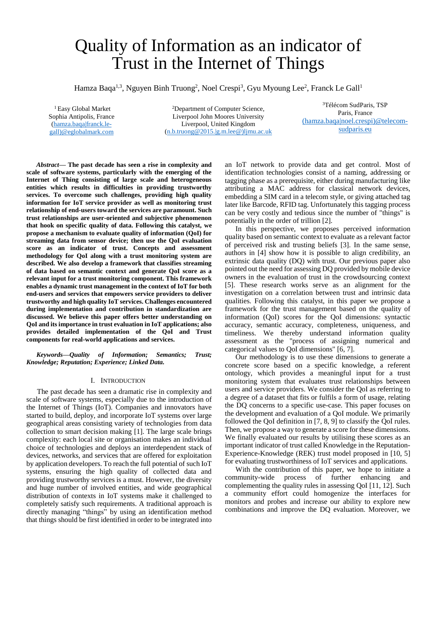# Quality of Information as an indicator of Trust in the Internet of Things

Hamza Baqa<sup>1,3</sup>, Nguyen Binh Truong<sup>2</sup>, Noel Crespi<sup>3</sup>, Gyu Myoung Lee<sup>2</sup>, Franck Le Gall<sup>1</sup>

<sup>1</sup> Easy Global Market Sophia Antipolis, France [\(hamza.baqa|franck.le](mailto:hamza.baqa%7Cfranck.le-gall@eglobalmark.com)[gall\)@eglobalmark.com](mailto:hamza.baqa%7Cfranck.le-gall@eglobalmark.com)

<sup>2</sup>Department of Computer Science, Liverpool John Moores University Liverpool, United Kingdom [\(n.b.truong@2015.|g.m.lee@\)ljmu.ac.uk](mailto:n.b.truong@2015.%7Cg.m.lee@)ljmu.ac.uk)

<sup>3</sup>Télécom SudParis, TSP Paris, France (hamza.baqa|noel.crespi)@telecomsudparis.eu

*Abstract***— The past decade has seen a rise in complexity and scale of software systems, particularly with the emerging of the Internet of Thing consisting of large scale and heterogeneous entities which results in difficulties in providing trustworthy services. To overcome such challenges, providing high quality information for IoT service provider as well as monitoring trust relationship of end-users toward the services are paramount. Such trust relationships are user-oriented and subjective phenomenon that hook on specific quality of data. Following this catalyst, we propose a mechanism to evaluate quality of information (QoI) for streaming data from sensor device; then use the QoI evaluation score as an indicator of trust. Concepts and assessment methodology for QoI along with a trust monitoring system are described. We also develop a framework that classifies streaming of data based on semantic context and generate QoI score as a relevant input for a trust monitoring component. This framework enables a dynamic trust management in the context of IoT for both end-users and services that empowers service providers to deliver trustworthy and high quality IoT services. Challenges encountered during implementation and contribution in standardization are discussed. We believe this paper offers better understanding on QoI and its importance in trust evaluation in IoT applications; also provides detailed implementation of the QoI and Trust components for real-world applications and services.**

*Keywords—Quality of Information; Semantics; Trust; Knowledge; Reputation; Experience; Linked Data.* 

#### I. INTRODUCTION

The past decade has seen a dramatic rise in complexity and scale of software systems, especially due to the introduction of the Internet of Things (IoT). Companies and innovators have started to build, deploy, and incorporate IoT systems over large geographical areas consisting variety of technologies from data collection to smart decision making [1]. The large scale brings complexity: each local site or organisation makes an individual choice of technologies and deploys an interdependent stack of devices, networks, and services that are offered for exploitation by application developers. To reach the full potential of such IoT systems, ensuring the high quality of collected data and providing trustworthy services is a must. However, the diversity and huge number of involved entities, and wide geographical distribution of contexts in IoT systems make it challenged to completely satisfy such requirements. A traditional approach is directly managing "things" by using an identification method that things should be first identified in order to be integrated into an IoT network to provide data and get control. Most of identification technologies consist of a naming, addressing or tagging phase as a prerequisite, either during manufacturing like attributing a MAC address for classical network devices, embedding a SIM card in a telecom style, or giving attached tag later like Barcode, RFID tag. Unfortunately this tagging process can be very costly and tedious since the number of "things" is potentially in the order of trillion [2].

In this perspective, we proposes perceived information quality based on semantic context to evaluate as a relevant factor of perceived risk and trusting beliefs [3]. In the same sense, authors in [4] show how it is possible to align credibility, an extrinsic data quality (DQ) with trust. Our previous paper also pointed out the need for assessing DQ provided by mobile device owners in the evaluation of trust in the crowdsourcing context [5]. These research works serve as an alignment for the investigation on a correlation between trust and intrinsic data qualities. Following this catalyst, in this paper we propose a framework for the trust management based on the quality of information (QoI) scores for the QoI dimensions: syntactic accuracy, semantic accuracy, completeness, uniqueness, and timeliness. We thereby understand information quality assessment as the "process of assigning numerical and categorical values to QoI dimensions" [6, 7].

Our methodology is to use these dimensions to generate a concrete score based on a specific knowledge, a referent ontology, which provides a meaningful input for a trust monitoring system that evaluates trust relationships between users and service providers. We consider the QoI as referring to a degree of a dataset that fits or fulfils a form of usage, relating the DQ concerns to a specific use-case. This paper focuses on the development and evaluation of a QoI module. We primarily followed the QoI definition in [7, 8, 9] to classify the QoI rules. Then, we propose a way to generate a score for these dimensions. We finally evaluated our results by utilising these scores as an important indicator of trust called Knowledge in the Reputation-Experience-Knowledge (REK) trust model proposed in [10, 5] for evaluating trustworthiness of IoT services and applications.

With the contribution of this paper, we hope to initiate a community-wide process of further enhancing and complementing the quality rules in assessing QoI [11, 12]. Such a community effort could homogenize the interfaces for monitors and probes and increase our ability to explore new combinations and improve the DQ evaluation. Moreover, we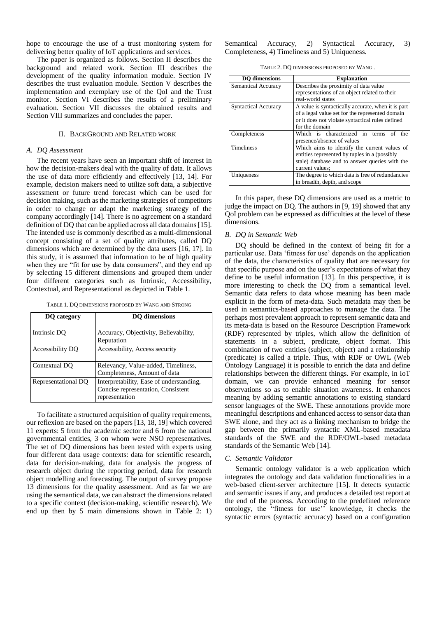hope to encourage the use of a trust monitoring system for delivering better quality of IoT applications and services.

The paper is organized as follows. Section II describes the background and related work. Section III describes the development of the quality information module. Section IV describes the trust evaluation module. Section V describes the implementation and exemplary use of the QoI and the Trust monitor. Section VI describes the results of a preliminary evaluation. Section VII discusses the obtained results and Section VIII summarizes and concludes the paper.

## II. BACKGROUND AND RELATED WORK

## *A. DQ Assessment*

The recent years have seen an important shift of interest in how the decision-makers deal with the quality of data. It allows the use of data more efficiently and effectively [13, 14]. For example, decision makers need to utilize soft data, a subjective assessment or future trend forecast which can be used for decision making, such as the marketing strategies of competitors in order to change or adapt the marketing strategy of the company accordingly [14]. There is no agreement on a standard definition of DQ that can be applied across all data domains [15]. The intended use is commonly described as a multi-dimensional concept consisting of a set of quality attributes, called DQ dimensions which are determined by the data users [16, 17]. In this study, it is assumed that information to be of high quality when they are "fit for use by data consumers", and they end up by selecting 15 different dimensions and grouped them under four different categories such as Intrinsic, Accessibility, Contextual, and Representational as depicted i[n Table 1.](#page-1-0)

TABLE 1. DQ DIMENSIONS PROPOSED BY WANG AND STRONG

<span id="page-1-0"></span>

| DO category         | <b>DO</b> dimensions                                                                             |  |
|---------------------|--------------------------------------------------------------------------------------------------|--|
| Intrinsic DO        | Accuracy, Objectivity, Believability,<br>Reputation                                              |  |
| Accessibility DQ    | Accessibility, Access security                                                                   |  |
| Contextual DO       | Relevancy, Value-added, Timeliness,<br>Completeness, Amount of data                              |  |
| Representational DQ | Interpretability, Ease of understanding,<br>Concise representation, Consistent<br>representation |  |

To facilitate a structured acquisition of quality requirements, our reflexion are based on the papers [13, 18, 19] which covered 11 experts: 5 from the academic sector and 6 from the national governmental entities, 3 on whom were NSO representatives. The set of DQ dimensions has been tested with experts using four different data usage contexts: data for scientific research, data for decision-making, data for analysis the progress of research object during the reporting period, data for research object modelling and forecasting. The output of survey propose 13 dimensions for the quality assessment. And as far we are using the semantical data, we can abstract the dimensions related to a specific context (decision-making, scientific research). We end up then by 5 main dimensions shown in [Table 2:](#page-1-1) 1) <span id="page-1-1"></span>Semantical Accuracy, 2) Syntactical Accuracy, 3) Completeness, 4) Timeliness and 5) Uniqueness.

TABLE 2. DQ DIMENSIONS PROPOSED BY WANG *.*

| <b>DO</b> dimensions        | <b>Explanation</b>                                 |  |  |  |
|-----------------------------|----------------------------------------------------|--|--|--|
| <b>Semantical Accuracy</b>  | Describes the proximity of data value              |  |  |  |
|                             | representations of an object related to their      |  |  |  |
|                             | real-world states                                  |  |  |  |
| <b>Syntactical Accuracy</b> | A value is syntactically accurate, when it is part |  |  |  |
|                             | of a legal value set for the represented domain    |  |  |  |
|                             | or it does not violate syntactical rules defined   |  |  |  |
|                             | for the domain                                     |  |  |  |
| Completeness                | Which is characterized in terms<br>the<br>of       |  |  |  |
|                             | presence/absence of values                         |  |  |  |
| <b>Timeliness</b>           | Which aims to identify the current values of       |  |  |  |
|                             | entities represented by tuples in a (possibly      |  |  |  |
|                             | stale) database and to answer queries with the     |  |  |  |
|                             | current values:                                    |  |  |  |
| Uniqueness                  | The degree to which data is free of redundancies   |  |  |  |
|                             | in breadth, depth, and scope                       |  |  |  |

In this paper, these DQ dimensions are used as a metric to judge the impact on DO. The authors in [9, 19] showed that any QoI problem can be expressed as difficulties at the level of these dimensions.

#### *B. DQ in Semantic Web*

DQ should be defined in the context of being fit for a particular use. Data 'fitness for use' depends on the application of the data, the characteristics of quality that are necessary for that specific purpose and on the user's expectations of what they define to be useful information [13]. In this perspective, it is more interesting to check the DQ from a semantical level. Semantic data refers to data whose meaning has been made explicit in the form of meta-data. Such metadata may then be used in semantics-based approaches to manage the data. The perhaps most prevalent approach to represent semantic data and its meta-data is based on the Resource Description Framework (RDF) represented by triples, which allow the definition of statements in a subject, predicate, object format. This combination of two entities (subject, object) and a relationship (predicate) is called a triple. Thus, with RDF or OWL (Web Ontology Language) it is possible to enrich the data and define relationships between the different things. For example, in IoT domain, we can provide enhanced meaning for sensor observations so as to enable situation awareness. It enhances meaning by adding semantic annotations to existing standard sensor languages of the SWE. These annotations provide more meaningful descriptions and enhanced access to sensor data than SWE alone, and they act as a linking mechanism to bridge the gap between the primarily syntactic XML-based metadata standards of the SWE and the RDF/OWL-based metadata standards of the Semantic Web [14].

#### *C. Semantic Validator*

Semantic ontology validator is a web application which integrates the ontology and data validation functionalities in a web-based client-server architecture [15]. It detects syntactic and semantic issues if any, and produces a detailed test report at the end of the process. According to the predefined reference ontology, the "fitness for use'' knowledge, it checks the syntactic errors (syntactic accuracy) based on a configuration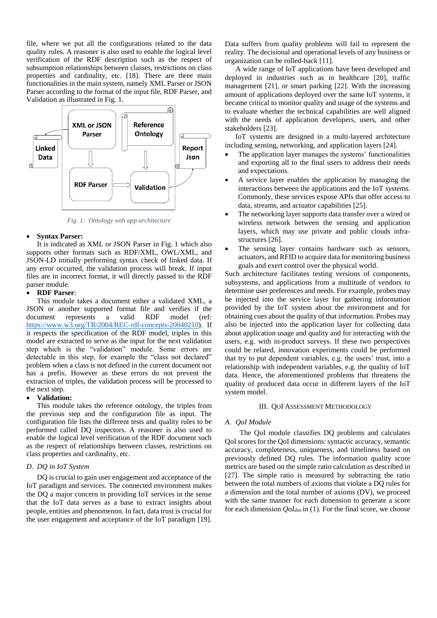file, where we put all the configurations related to the data quality rules. A reasoner is also used to enable the logical level verification of the RDF description such as the respect of subsumption relationships between classes, restrictions on class properties and cardinality, etc. [18]. There are three main functionalities in the main system, namely XML Parser or JSON Parser according to the format of the input file, RDF Parser, and Validation as illustrated in [Fig.](#page-2-0) 1.



*Fig. 1: Ontology web app architecture*

## <span id="page-2-0"></span>**Syntax Parser:**

It is indicated as XML or JSON Parser in [Fig.](#page-2-0) 1 which also supports other formats such as RDF/XML, OWL/XML, and JSON-LD initially performing syntax check of linked data. If any error occurred, the validation process will break. If input files are in incorrect format, it will directly passed to the RDF parser module.

## **RDF Parser**:

This module takes a document either a validated XML, a JSON or another supported format file and verifies if the document represents a valid RDF model (ref: [https://www.w3.org/TR/2004/REC-rdf-concepts-20040210\)](https://www.w3.org/TR/2004/REC-rdf-concepts-20040210). If it respects the specification of the RDF model, triples in this model are extracted to serve as the input for the next validation step which is the "validation" module. Some errors are detectable in this step, for example the "class not declared" problem when a class is not defined in the current document nor has a prefix. However as these errors do not prevent the extraction of triples, the validation process will be processed to the next step.

### **Validation:**

This module takes the reference ontology, the triples from the previous step and the configuration file as input. The configuration file lists the different tests and quality rules to be performed called DQ inspectors. A reasoner is also used to enable the logical level verification of the RDF document such as the respect of relationships between classes, restrictions on class properties and cardinality, etc.

### *D. DQ in IoT System*

DQ is crucial to gain user engagement and acceptance of the IoT paradigm and services. The connected environment makes the DQ a major concern in providing IoT services in the sense that the IoT data serves as a base to extract insights about people, entities and phenomenon. In fact, data trust is crucial for the user engagement and acceptance of the IoT paradigm [19].

Data suffers from quality problems will fail to represent the reality. The decisional and operational levels of any business or organization can be rolled-back [11].

A wide range of IoT applications have been developed and deployed in industries such as in healthcare [20], traffic management [21], or smart parking [22]. With the increasing amount of applications deployed over the same IoT systems, it became critical to monitor quality and usage of the systems and to evaluate whether the technical capabilities are well aligned with the needs of application developers, users, and other stakeholders [23].

IoT systems are designed in a multi-layered architecture including sensing, networking, and application layers [24].

- The application layer manages the systems' functionalities and exporting all to the final users to address their needs and expectations.
- A service layer enables the application by managing the interactions between the applications and the IoT systems. Commonly, these services expose APIs that offer access to data, streams, and actuator capabilities [25].
- The networking layer supports data transfer over a wired or wireless network between the sensing and application layers, which may use private and public clouds infrastructures [26].
- The sensing layer contains hardware such as sensors, actuators, and RFID to acquire data for monitoring business goals and exert control over the physical world.

Such architecture facilitates testing versions of components, subsystems, and applications from a multitude of vendors to determine user preferences and needs. For example, probes may be injected into the service layer for gathering information provided by the IoT system about the environment and for obtaining cues about the quality of that information. Probes may also be injected into the application layer for collecting data about application usage and quality and for interacting with the users, e.g. with in-product surveys. If these two perspectives could be related, innovation experiments could be performed that try to put dependent variables, e.g. the users' trust, into a relationship with independent variables, e.g. the quality of IoT data. Hence, the aforementioned problems that threatens the quality of produced data occur in different layers of the IoT system model.

#### III. QOI ASSESSMENT METHODOLOGY

#### *A. QoI Module*

 The QoI module classifies DQ problems and calculates QoI scores for the QoI dimensions: syntactic accuracy, semantic accuracy, completeness, uniqueness, and timeliness based on previously defined DQ rules. The information quality score metrics are based on the simple ratio calculation as described in [27]. The simple ratio is measured by subtracting the ratio between the total numbers of axioms that violate a DQ rules for a dimension and the total number of axioms (DV), we proceed with the same manner for each dimension to generate a score for each dimension *QoIdim* in (1). For the final score, we choose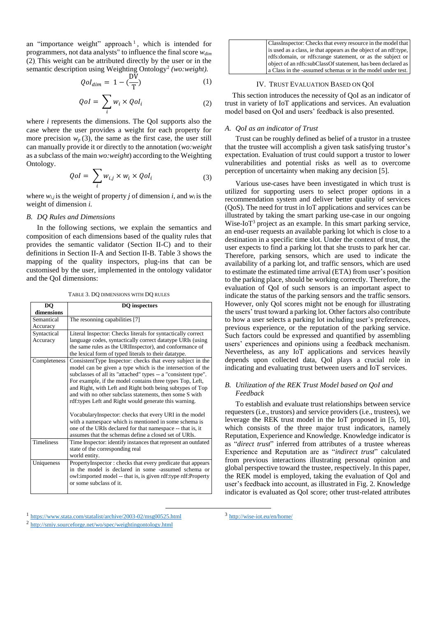an "importance weight" approach<sup>1</sup>, which is intended for programmers, not data analysts" to influence the final score *wdim* (2). This weight can be attributed directly by the user or in the semantic description using Weighting Ontology<sup>2</sup> (wo:weight).

$$
Qol_{dim} = 1 - \left(\frac{DV}{T}\right) \tag{1}
$$

$$
QoI = \sum_{i} w_i \times QoI_i \tag{2}
$$

where *i* represents the dimensions. The QoI supports also the case where the user provides a weight for each property for more precision  $w_p(3)$ , the same as the first case, the user still can manually provide it or directly to the annotation (*wo:weight* as a subclass of the main *wo:weight*) according to the Weighting Ontology.

$$
QoI = \sum_{i} w_{i,j} \times w_i \times QoI_i \tag{3}
$$

where  $w_{i,j}$  is the weight of property *j* of dimension *i*, and  $w_i$  is the weight of dimension *i.*

#### *B. DQ Rules and Dimensions*

In the following sections, we explain the semantics and composition of each dimensions based of the quality rules that provides the semantic validator (Section II-C) and to their definitions in Section II-A and Section II-B. [Table 3](#page-3-0) shows the mapping of the quality inspectors, plug-ins that can be customised by the user, implemented in the ontology validator and the QoI dimensions:

TABLE 3. DQ DIMENSIONS WITH DQ RULES

<span id="page-3-0"></span>

| <b>DO</b>         | <b>DQ</b> inspectors                                           |  |  |  |  |
|-------------------|----------------------------------------------------------------|--|--|--|--|
| dimensions        |                                                                |  |  |  |  |
| Semantical        | The resonning capabilities [7]                                 |  |  |  |  |
| Accuracy          |                                                                |  |  |  |  |
| Syntactical       | Literal Inspector: Checks literals for syntactically correct   |  |  |  |  |
| Accuracy          | language codes, syntactically correct datatype URIs (using     |  |  |  |  |
|                   | the same rules as the URIInspector), and conformance of        |  |  |  |  |
|                   | the lexical form of typed literals to their datatype.          |  |  |  |  |
| Completeness      | ConsistentType Inspector: checks that every subject in the     |  |  |  |  |
|                   | model can be given a type which is the intersection of the     |  |  |  |  |
|                   | subclasses of all its "attached" types -- a "consistent type". |  |  |  |  |
|                   | For example, if the model contains three types Top, Left,      |  |  |  |  |
|                   | and Right, with Left and Right both being subtypes of Top      |  |  |  |  |
|                   | and with no other subclass statements, then some S with        |  |  |  |  |
|                   | rdf: types Left and Right would generate this warning.         |  |  |  |  |
|                   |                                                                |  |  |  |  |
|                   | Vocabulary Inspector: checks that every URI in the model       |  |  |  |  |
|                   | with a namespace which is mentioned in some schema is          |  |  |  |  |
|                   | one of the URIs declared for that namespace -- that is, it     |  |  |  |  |
|                   | assumes that the schemas define a closed set of URIs.          |  |  |  |  |
| <b>Timeliness</b> | Time Inspector: identify instances that represent an outdated  |  |  |  |  |
|                   | state of the corresponding real                                |  |  |  |  |
|                   | world entity.                                                  |  |  |  |  |
| Uniqueness        | PropertyInspector: checks that every predicate that appears    |  |  |  |  |
|                   | in the model is declared in some -assumed schema or            |  |  |  |  |
|                   | owl:imported model -- that is, is given rdf:type rdf:Property  |  |  |  |  |
|                   | or some subclass of it.                                        |  |  |  |  |
|                   |                                                                |  |  |  |  |

| ClassInspector: Checks that every resource in the model that      |
|-------------------------------------------------------------------|
| is used as a class, ie that appears as the object of an rdf:type, |
| rdfs:domain, or rdfs:range statement, or as the subject or        |
| object of an rdfs:subClassOf statement, has been declared as      |
| a Class in the -assumed schemas or in the model under test.       |

#### IV. TRUST EVALUATION BASED ON QOI

This section introduces the necessity of QoI as an indicator of trust in variety of IoT applications and services. An evaluation model based on QoI and users' feedback is also presented.

#### *A. QoI as an indicator of Trust*

Trust can be roughly defined as belief of a trustor in a trustee that the trustee will accomplish a given task satisfying trustor's expectation. Evaluation of trust could support a trustor to lower vulnerabilities and potential risks as well as to overcome perception of uncertainty when making any decision [5].

Various use-cases have been investigated in which trust is utilized for supporting users to select proper options in a recommendation system and deliver better quality of services (QoS). The need for trust in IoT applications and services can be illustrated by taking the smart parking use-case in our ongoing Wise-IoT<sup>3</sup> project as an example. In this smart parking service, an end-user requests an available parking lot which is close to a destination in a specific time slot. Under the context of trust, the user expects to find a parking lot that she trusts to park her car. Therefore, parking sensors, which are used to indicate the availability of a parking lot, and traffic sensors, which are used to estimate the estimated time arrival (ETA) from user's position to the parking place, should be working correctly. Therefore, the evaluation of QoI of such sensors is an important aspect to indicate the status of the parking sensors and the traffic sensors. However, only QoI scores might not be enough for illustrating the users' trust toward a parking lot. Other factors also contribute to how a user selects a parking lot including user's preferences, previous experience, or the reputation of the parking service. Such factors could be expressed and quantified by assembling users' experiences and opinions using a feedback mechanism. Nevertheless, as any IoT applications and services heavily depends upon collected data, QoI plays a crucial role in indicating and evaluating trust between users and IoT services.

## *B. Utilization of the REK Trust Model based on QoI and Feedback*

To establish and evaluate trust relationships between service requesters (i.e., trustors) and service providers (i.e., trustees), we leverage the REK trust model in the IoT proposed in [5, 10], which consists of the three major trust indicators, namely Reputation, Experience and Knowledge. Knowledge indicator is as "*direct trust*" inferred from attributes of a trustee whereas Experience and Reputation are as "*indirect trust*" calculated from previous interactions illustrating personal opinion and global perspective toward the trustee, respectively. In this paper, the REK model is employed, taking the evaluation of QoI and user's feedback into account, as illustrated in [Fig.](#page-4-0) 2. Knowledge indicator is evaluated as QoI score; other trust-related attributes

-

<sup>2</sup> <http://smiy.sourceforge.net/wo/spec/weightingontology.html>

<sup>1</sup> <https://www.stata.com/statalist/archive/2003-02/msg00525.html>

<sup>&</sup>lt;sup>3</sup> <http://wise-iot.eu/en/home/>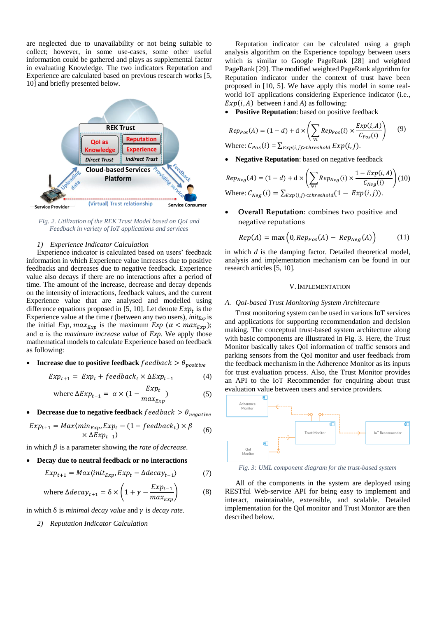are neglected due to unavailability or not being suitable to collect; however, in some use-cases, some other useful information could be gathered and plays as supplemental factor in evaluating Knowledge. The two indicators Reputation and Experience are calculated based on previous research works [5, 10] and briefly presented below.



<span id="page-4-0"></span>*Fig. 2. Utilization of the REK Trust Model based on QoI and Feedback in variety of IoT applications and services*

## *1) Experience Indicator Calculation*

Experience indicator is calculated based on users' feedback information in which Experience value increases due to positive feedbacks and decreases due to negative feedback. Experience value also decays if there are no interactions after a period of time. The amount of the increase, decrease and decay depends on the intensity of interactions, feedback values, and the current Experience value that are analysed and modelled using difference equations proposed in [5, 10]. Let denote  $Exp_t$  is the Experience value at the time  $t$  (between any two users),  $init_{Exp}$  is the initial *Exp*,  $max_{Exp}$  is the maximum *Exp* ( $\alpha < max_{Exp}$ ); and  $\alpha$  is the *maximum increase value* of *Exp*. We apply those mathematical models to calculate Experience based on feedback as following:

**Increase due to positive feedback**  $f$ eedback  $> \theta_{positive}$ 

$$
Exp_{t+1} = Exp_t + feedback_t \times \Delta Exp_{t+1}
$$
 (4)

where 
$$
\Delta Exp_{t+1} = \alpha \times (1 - \frac{Exp_t}{max_{Exp}})
$$
 (5)

**Decrease due to negative feedback**  $f$ eedback  $> \theta_{negative}$ 

$$
Exp_{t+1} = Max\langle min_{Exp}, Exp_t - (1 - feedback_t) \times \beta
$$
  
×  $\Delta Exp_{t+1}$  (6)

in which  $\beta$  is a parameter showing the *rate of decrease*.

## **Decay due to neutral feedback or no interactions**

$$
Exp_{t+1} = Max\langle init_{Exp}, Exp_t - \Delta decay_{t+1} \rangle \tag{7}
$$

where 
$$
\Delta decay_{t+1} = \delta \times \left(1 + \gamma - \frac{Exp_{t-1}}{max_{Exp}}\right)
$$
 (8)

in which  $\delta$  is *minimal decay value* and  $\gamma$  is *decay rate.* 

*2) Reputation Indicator Calculation*

Reputation indicator can be calculated using a graph analysis algorithm on the Experience topology between users which is similar to Google PageRank [28] and weighted PageRank [29]. The modified weighted PageRank algorithm for Reputation indicator under the context of trust have been proposed in [10, 5]. We have apply this model in some realworld IoT applications considering Experience indicator (i.e.,  $Exp(i, A)$  between *i* and *A*) as following:

**Positive Reputation**: based on positive feedback

$$
Rep_{Pos}(A) = (1 - d) + d \times \left( \sum_{\forall i} Rep_{Pos}(i) \times \frac{Exp(i, A)}{C_{Pos}(i)} \right) \tag{9}
$$
  
Where:  $C_{Pos}(i) = \sum_{Exp(i, j) > threshold} Exp(i, j).$ 

**Negative Reputation**: based on negative feedback

$$
Rep_{Neg}(A) = (1 - d) + d \times \left( \sum_{\forall i} Rep_{Neg}(i) \times \frac{1 - Exp(i, A)}{C_{Neg}(i)} \right) (10)
$$
  
Where:  $C_{Neg}(i) = \sum_{Exp(i,j) < threshold} (1 - Exp(i, j)).$ 

 **Overall Reputation**: combines two positive and negative reputations

$$
Rep(A) = \max\left(0, Rep_{Pos}(A) - Rep_{Neg}(A)\right) \tag{11}
$$

in which *d* is the damping factor. Detailed theoretical model, analysis and implementation mechanism can be found in our research articles [5, 10].

## V.IMPLEMENTATION

#### *A. QoI-based Trust Monitoring System Architecture*

Trust monitoring system can be used in various IoT services and applications for supporting recommendation and decision making. The conceptual trust-based system architecture along with basic components are illustrated in [Fig.](#page-4-1) 3. Here, the Trust Monitor basically takes QoI information of traffic sensors and parking sensors from the QoI monitor and user feedback from the feedback mechanism in the Adherence Monitor as its inputs for trust evaluation process. Also, the Trust Monitor provides an API to the IoT Recommender for enquiring about trust evaluation value between users and service providers.



<span id="page-4-1"></span>*Fig. 3: UML component diagram for the trust-based system*

All of the components in the system are deployed using RESTful Web-service API for being easy to implement and interact, maintainable, extensible, and scalable. Detailed implementation for the QoI monitor and Trust Monitor are then described below.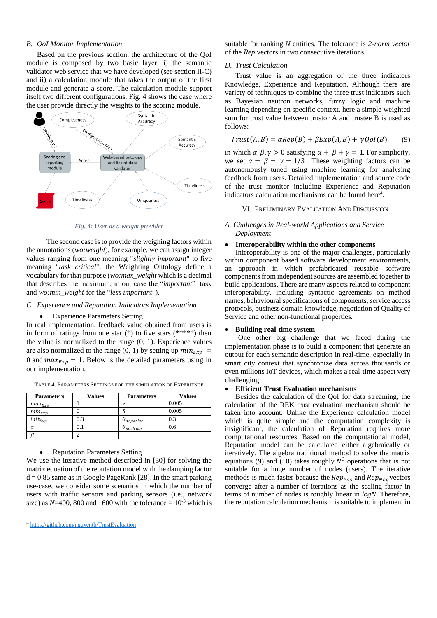# *B. QoI Monitor Implementation*

Based on the previous section, the architecture of the QoI module is composed by two basic layer: i) the semantic validator web service that we have developed (see section II-C) and ii) a calculation module that takes the output of the first module and generate a score. The calculation module support itself two different configurations. [Fig.](#page-5-0) 4 shows the case where the user provide directly the weights to the scoring module.



*Fig. 4: User as a weight provider*

<span id="page-5-0"></span> The second case is to provide the weighing factors within the annotations (*wo:weight*), for example, we can assign integer values ranging from one meaning "*slightly important*" to five meaning "*task critical*", the Weighting Ontology define a vocabulary for that purpose (*wo:max\_weight* which is a decimal that describes the maximum, in our case the "*important*" task and *wo:min\_weight* for the "*less important*").

## *C. Experience and Reputation Indicators Implementation*

## Experience Parameters Setting

In real implementation, feedback value obtained from users is in form of ratings from one star  $(*)$  to five stars  $(*****)$  then the value is normalized to the range  $(0, 1)$ . Experience values are also normalized to the range (0, 1) by setting up  $min_{Exp}$  = 0 and  $max_{Exp} = 1$ . Below is the detailed parameters using in our implementation.

| <b>Parameters</b> | Values | <b>Parameters</b>   | <b>Values</b> |
|-------------------|--------|---------------------|---------------|
| $max_{Exp}$       |        |                     | 0.005         |
| $min_{Exp}$       |        |                     | 0.005         |
| $init_{Exp}$      | 0.3    | $\theta_{negative}$ | 0.3           |
| α                 | 0.1    | positive            | 0.6           |
|                   |        |                     |               |

TABLE 4. PARAMETERS SETTINGS FOR THE SIMULATION OF EXPERIENCE

• Reputation Parameters Setting

We use the iterative method described in [30] for solving the matrix equation of the reputation model with the damping factor  $d = 0.85$  same as in Google PageRank [28]. In the smart parking use-case, we consider some scenarios in which the number of users with traffic sensors and parking sensors (i.e., network size) as  $N=400$ , 800 and 1600 with the tolerance  $= 10^{-3}$  which is

1

suitable for ranking *N* entities. The tolerance is *2-norm vector*  of the *Rep* vectors in two consecutive iterations.

#### *D. Trust Calculation*

Trust value is an aggregation of the three indicators Knowledge, Experience and Reputation. Although there are variety of techniques to combine the three trust indicators such as Bayesian neutron networks, fuzzy logic and machine learning depending on specific context, here a simple weighted sum for trust value between trustor A and trustee B is used as follows:

$$
Trust(A, B) = \alpha Rep(B) + \beta Exp(A, B) + \gamma Qol(B) \qquad (9)
$$

in which  $\alpha$ ,  $\beta$ ,  $\gamma > 0$  satisfying  $\alpha + \beta + \gamma = 1$ . For simplicity, we set  $\alpha = \beta = \gamma = 1/3$ . These weighting factors can be autonomously tuned using machine learning for analysing feedback from users. Detailed implementation and source code of the trust monitor including Experience and Reputation indicators calculation mechanisms can be found here<sup>4</sup>.

#### VI. PRELIMINARY EVALUATION AND DISCUSSION

# *A. Challenges in Real-world Applications and Service Deployment*

## **Interoperability within the other components**

Interoperability is one of the major challenges, particularly within component based software development environments, an approach in which prefabricated reusable software components from independent sources are assembled together to build applications. There are many aspects related to component interoperability, including syntactic agreements on method names, behavioural specifications of components, service access protocols, business domain knowledge, negotiation of Quality of Service and other non-functional properties.

## **Building real-time system**

One other big challenge that we faced during the implementation phase is to build a component that generate an output for each semantic description in real-time, especially in smart city context that synchronize data across thousands or even millions IoT devices, which makes a real-time aspect very challenging.

## **Efficient Trust Evaluation mechanisms**

Besides the calculation of the QoI for data streaming, the calculation of the REK trust evaluation mechanism should be taken into account. Unlike the Experience calculation model which is quite simple and the computation complexity is insignificant, the calculation of Reputation requires more computational resources. Based on the computational model, Reputation model can be calculated either algebraically or iteratively. The algebra traditional method to solve the matrix equations (9) and (10) takes roughly  $N^3$  operations that is not suitable for a huge number of nodes (users). The iterative methods is much faster because the  $Rep_{Pos}$  and  $Rep_{Neg}$  vectors converge after a number of iterations as the scaling factor in terms of number of nodes is roughly linear in *logN*. Therefore, the reputation calculation mechanism is suitable to implement in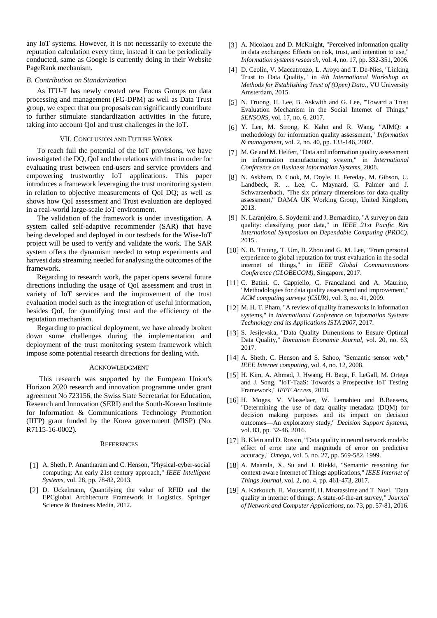any IoT systems. However, it is not necessarily to execute the reputation calculation every time, instead it can be periodically conducted, same as Google is currently doing in their Website PageRank mechanism.

### *B. Contribution on Standarization*

As ITU-T has newly created new Focus Groups on data processing and management (FG-DPM) as well as Data Trust group, we expect that our proposals can significantly contribute to further stimulate standardization activities in the future, taking into account QoI and trust challenges in the IoT.

## VII. CONCLUSION AND FUTURE WORK

To reach full the potential of the IoT provisions, we have investigated the DQ, QoI and the relations with trust in order for evaluating trust between end-users and service providers and empowering trustworthy IoT applications. This paper introduces a framework leveraging the trust monitoring system in relation to objective measurements of QoI DQ; as well as shows how QoI assessment and Trust evaluation are deployed in a real-world large-scale IoT environment.

The validation of the framework is under investigation. A system called self-adaptive recommender (SAR) that have being developed and deployed in our testbeds for the Wise-IoT project will be used to verify and validate the work. The SAR system offers the dynamism needed to setup experiments and harvest data streaming needed for analysing the outcomes of the framework.

Regarding to research work, the paper opens several future directions including the usage of QoI assessment and trust in variety of IoT services and the improvement of the trust evaluation model such as the integration of useful information, besides QoI, for quantifying trust and the efficiency of the reputation mechanism.

Regarding to practical deployment, we have already broken down some challenges during the implementation and deployment of the trust monitoring system framework which impose some potential research directions for dealing with.

#### ACKNOWLEDGMENT

 This research was supported by the European Union's Horizon 2020 research and innovation programme under grant agreement No 723156, the Swiss State Secretariat for Education, Research and Innovation (SERI) and the South-Korean Institute for Information & Communications Technology Promotion (IITP) grant funded by the Korea government (MISP) (No. R7115-16-0002).

#### **REFERENCES**

- [1] A. Sheth, P. Anantharam and C. Henson, "Physical-cyber-social computing: An early 21st century approach," *IEEE Intelligent Systems,* vol. 28, pp. 78-82, 2013.
- [2] D. Uckelmann, Quantifying the value of RFID and the EPCglobal Architecture Framework in Logistics, Springer Science & Business Media, 2012.
- [3] A. Nicolaou and D. McKnight, "Perceived information quality in data exchanges: Effects on risk, trust, and intention to use," *Information systems research,* vol. 4, no. 17, pp. 332-351, 2006.
- [4] D. Ceolin, V. Maccatrozzo, L. Aroyo and T. De-Nies, "Linking" Trust to Data Quality," in *4th International Workshop on Methods for Establishing Trust of (Open) Data.*, VU University Amsterdam, 2015.
- [5] N. Truong, H. Lee, B. Askwith and G. Lee, "Toward a Trust Evaluation Mechanism in the Social Internet of Things," *SENSORS,* vol. 17, no. 6, 2017.
- [6] Y. Lee, M. Strong, K. Kahn and R. Wang, "AIMQ: a methodology for information quality assessment," *Information & management,* vol. 2, no. 40, pp. 133-146, 2002.
- [7] M. Ge and M. Helfert, "Data and information quality assessment in information manufacturing system," in *International Conference on Business Information Systems*, 2008.
- [8] N. Askham, D. Cook, M. Doyle, H. Fereday, M. Gibson, U. Landbeck, R. .. Lee, C. Maynard, G. Palmer and J. Schwarzenbach, "The six primary dimensions for data quality assessment," DAMA UK Working Group, United Kingdom, 2013.
- [9] N. Laranjeiro, S. Soydemir and J. Bernardino, "A survey on data quality: classifying poor data," in *IEEE 21st Pacific Rim International Symposium on Dependable Computing (PRDC)*, 2015 .
- [10] N. B. Truong, T. Um, B. Zhou and G. M. Lee, "From personal experience to global reputation for trust evaluation in the social internet of things," in *IEEE Global Communications Conference (GLOBECOM)*, Singapore, 2017.
- [11] C. Batini, C. Cappiello, C. Francalanci and A. Maurino, "Methodologies for data quality assessment and improvement," *ACM computing surveys (CSUR),* vol. 3, no. 41, 2009.
- [12] M. H. T. Pham, "A review of quality frameworks in information systems," in *International Conference on Information Systems Technology and its Applications ISTA'2007*, 2017.
- [13] S. Jesiļevska, "Data Quality Dimensions to Ensure Optimal Data Quality," *Romanian Economic Journal,* vol. 20, no. 63, 2017.
- [14] A. Sheth, C. Henson and S. Sahoo, "Semantic sensor web," *IEEE Internet computing,* vol. 4, no. 12, 2008.
- [15] H. Kim, A. Ahmad, J. Hwang, H. Baqa, F. LeGall, M. Ortega and J. Song, "IoT-TaaS: Towards a Prospective IoT Testing Framework," *IEEE Access,* 2018.
- [16] H. Moges, V. Vlasselaer, W. Lemahieu and B.Baesens, "Determining the use of data quality metadata (DQM) for decision making purposes and its impact on decision outcomes—An exploratory study," *Decision Support Systems,*  vol. 83, pp. 32-46, 2016.
- [17] B. Klein and D. Rossin, "Data quality in neural network models: effect of error rate and magnitude of error on predictive accuracy," *Omega,* vol. 5, no. 27, pp. 569-582, 1999.
- [18] A. Maarala, X. Su and J. Riekki, "Semantic reasoning for context-aware Internet of Things applications," *IEEE Internet of Things Journal,* vol. 2, no. 4, pp. 461-473, 2017.
- [19] A. Karkouch, H. Mousannif, H. Moatassime and T. Noel, "Data quality in internet of things: A state-of-the-art survey," *Journal of Network and Computer Applications,* no. 73, pp. 57-81, 2016.